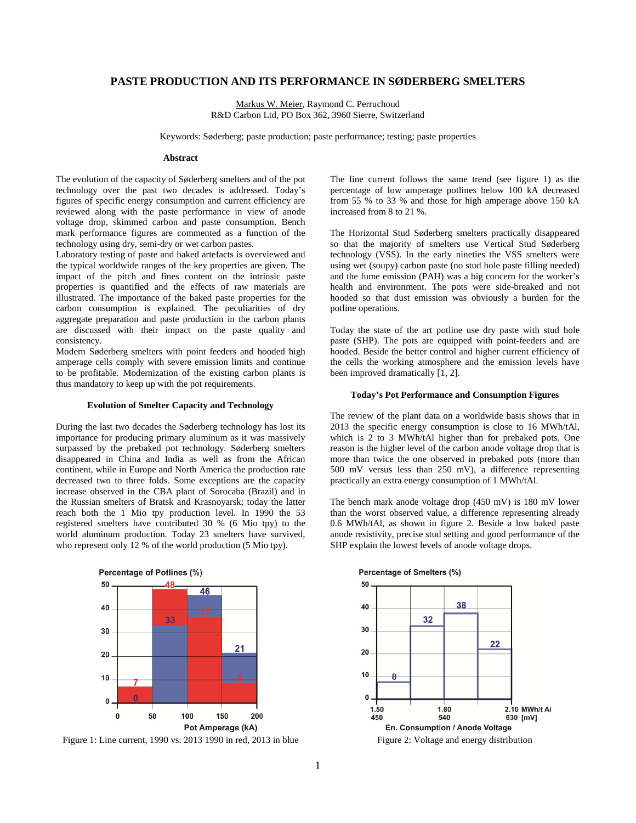# **PASTE PRODUCTION AND ITS PERFORMANCE IN SØDERBERG SMELTERS**

Markus W. Meier, Raymond C. Perruchoud R&D Carbon Ltd, PO Box 362, 3960 Sierre, Switzerland

Keywords: Søderberg; paste production; paste performance; testing; paste properties

#### **Abstract**

The evolution of the capacity of Søderberg smelters and of the pot technology over the past two decades is addressed. Today's figures of specific energy consumption and current efficiency are reviewed along with the paste performance in view of anode voltage drop, skimmed carbon and paste consumption. Bench mark performance figures are commented as a function of the technology using dry, semi-dry or wet carbon pastes.

Laboratory testing of paste and baked artefacts is overviewed and the typical worldwide ranges of the key properties are given. The impact of the pitch and fines content on the intrinsic paste properties is quantified and the effects of raw materials are illustrated. The importance of the baked paste properties for the carbon consumption is explained. The peculiarities of dry aggregate preparation and paste production in the carbon plants are discussed with their impact on the paste quality and consistency.

Modern Søderberg smelters with point feeders and hooded high amperage cells comply with severe emission limits and continue to be profitable. Modernization of the existing carbon plants is thus mandatory to keep up with the pot requirements.

### **Evolution of Smelter Capacity and Technology**

During the last two decades the Søderberg technology has lost its importance for producing primary aluminum as it was massively surpassed by the prebaked pot technology. Søderberg smelters disappeared in China and India as well as from the African continent, while in Europe and North America the production rate decreased two to three folds. Some exceptions are the capacity increase observed in the CBA plant of Sorocaba (Brazil) and in the Russian smelters of Bratsk and Krasnoyarsk; today the latter reach both the 1 Mio tpy production level. In 1990 the 53 registered smelters have contributed 30 % (6 Mio tpy) to the world aluminum production. Today 23 smelters have survived, who represent only 12 % of the world production (5 Mio tpy).



Figure 1: Line current, 1990 vs. 2013 1990 in red, 2013 in blue

The line current follows the same trend (see figure 1) as the percentage of low amperage potlines below 100 kA decreased from 55 % to 33 % and those for high amperage above 150 kA increased from 8 to 21 %.

The Horizontal Stud Søderberg smelters practically disappeared so that the majority of smelters use Vertical Stud Søderberg technology (VSS). In the early nineties the VSS smelters were using wet (soupy) carbon paste (no stud hole paste filling needed) and the fume emission (PAH) was a big concern for the worker's health and environment. The pots were side-breaked and not hooded so that dust emission was obviously a burden for the potline operations.

Today the state of the art potline use dry paste with stud hole paste (SHP). The pots are equipped with point-feeders and are hooded. Beside the better control and higher current efficiency of the cells the working atmosphere and the emission levels have been improved dramatically [1, 2].

### **Today's Pot Performance and Consumption Figures**

The review of the plant data on a worldwide basis shows that in 2013 the specific energy consumption is close to 16 MWh/tAl, which is 2 to 3 MWh/tAl higher than for prebaked pots. One reason is the higher level of the carbon anode voltage drop that is more than twice the one observed in prebaked pots (more than 500 mV versus less than 250 mV), a difference representing practically an extra energy consumption of 1 MWh/tAl.

The bench mark anode voltage drop (450 mV) is 180 mV lower than the worst observed value, a difference representing already 0.6 MWh/tAl, as shown in figure 2. Beside a low baked paste anode resistivity, precise stud setting and good performance of the SHP explain the lowest levels of anode voltage drops.



Figure 2: Voltage and energy distribution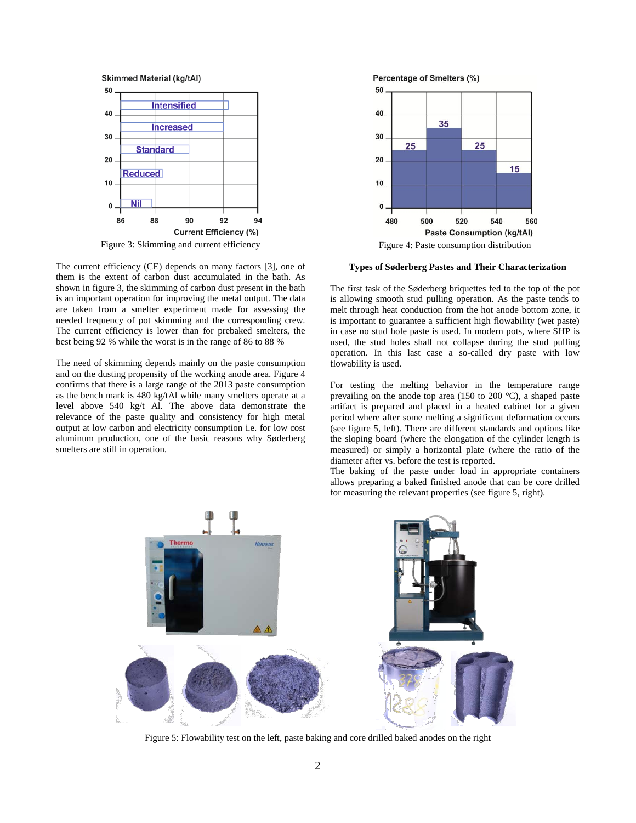

Figure 3: Skimming and current efficiency

The current efficiency (CE) depends on many factors [3], one of them is the extent of carbon dust accumulated in the bath. As shown in figure 3, the skimming of carbon dust present in the bath is an important operation for improving the metal output. The data are taken from a smelter experiment made for assessing the needed frequency of pot skimming and the corresponding crew. The current efficiency is lower than for prebaked smelters, the best being 92 % while the worst is in the range of 86 to 88 %

The need of skimming depends mainly on the paste consumption and on the dusting propensity of the working anode area. Figure 4 confirms that there is a large range of the 2013 paste consumption as the bench mark is 480 kg/tAl while many smelters operate at a level above 540 kg/t Al. The above data demonstrate the relevance of the paste quality and consistency for high metal output at low carbon and electricity consumption i.e. for low cost aluminum production, one of the basic reasons why Søderberg smelters are still in operation.





Figure 4: Paste consumption distribution

## **Types of Søderberg Pastes and Their Characterization**

The first task of the Søderberg briquettes fed to the top of the pot is allowing smooth stud pulling operation. As the paste tends to melt through heat conduction from the hot anode bottom zone, it is important to guarantee a sufficient high flowability (wet paste) in case no stud hole paste is used. In modern pots, where SHP is used, the stud holes shall not collapse during the stud pulling operation. In this last case a so-called dry paste with low flowability is used.

For testing the melting behavior in the temperature range prevailing on the anode top area (150 to 200 °C), a shaped paste artifact is prepared and placed in a heated cabinet for a given period where after some melting a significant deformation occurs (see figure 5, left). There are different standards and options like the sloping board (where the elongation of the cylinder length is measured) or simply a horizontal plate (where the ratio of the diameter after vs. before the test is reported.

The baking of the paste under load in appropriate containers allows preparing a baked finished anode that can be core drilled for measuring the relevant properties (see figure 5, right).



Figure 5: Flowability test on the left, paste baking and core drilled baked anodes on the right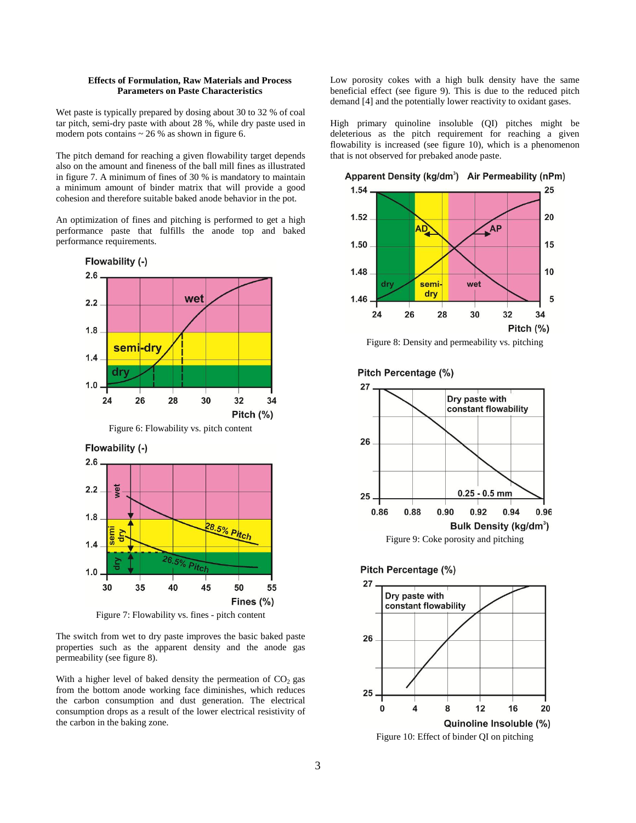## **Effects of Formulation, Raw Materials and Process Parameters on Paste Characteristics**

Wet paste is typically prepared by dosing about 30 to 32 % of coal tar pitch, semi-dry paste with about 28 %, while dry paste used in modern pots contains  $\sim$  26 % as shown in figure 6.

The pitch demand for reaching a given flowability target depends also on the amount and fineness of the ball mill fines as illustrated in figure 7. A minimum of fines of 30 % is mandatory to maintain a minimum amount of binder matrix that will provide a good cohesion and therefore suitable baked anode behavior in the pot.

An optimization of fines and pitching is performed to get a high performance paste that fulfills the anode top and baked performance requirements.



Figure 7: Flowability vs. fines - pitch content

The switch from wet to dry paste improves the basic baked paste properties such as the apparent density and the anode gas permeability (see figure 8).

With a higher level of baked density the permeation of  $CO<sub>2</sub>$  gas from the bottom anode working face diminishes, which reduces the carbon consumption and dust generation. The electrical consumption drops as a result of the lower electrical resistivity of the carbon in the baking zone.

Low porosity cokes with a high bulk density have the same beneficial effect (see figure 9). This is due to the reduced pitch demand [4] and the potentially lower reactivity to oxidant gases.

High primary quinoline insoluble (QI) pitches might be deleterious as the pitch requirement for reaching a given flowability is increased (see figure 10), which is a phenomenon that is not observed for prebaked anode paste.



Figure 8: Density and permeability vs. pitching







Figure 10: Effect of binder QI on pitching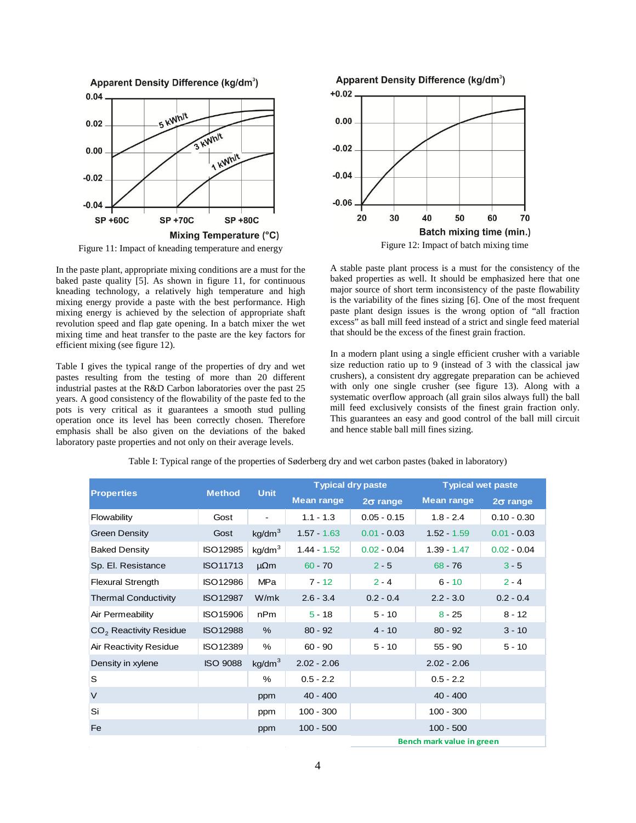

Figure 11: Impact of kneading temperature and energy

In the paste plant, appropriate mixing conditions are a must for the baked paste quality [5]. As shown in figure 11, for continuous kneading technology, a relatively high temperature and high mixing energy provide a paste with the best performance. High mixing energy is achieved by the selection of appropriate shaft revolution speed and flap gate opening. In a batch mixer the wet mixing time and heat transfer to the paste are the key factors for efficient mixing (see figure 12).

Table I gives the typical range of the properties of dry and wet pastes resulting from the testing of more than 20 different industrial pastes at the R&D Carbon laboratories over the past 25 years. A good consistency of the flowability of the paste fed to the pots is very critical as it guarantees a smooth stud pulling operation once its level has been correctly chosen. Therefore emphasis shall be also given on the deviations of the baked laboratory paste properties and not only on their average levels.



Figure 12: Impact of batch mixing time

A stable paste plant process is a must for the consistency of the baked properties as well. It should be emphasized here that one major source of short term inconsistency of the paste flowability is the variability of the fines sizing [6]. One of the most frequent paste plant design issues is the wrong option of "all fraction excess" as ball mill feed instead of a strict and single feed material that should be the excess of the finest grain fraction.

In a modern plant using a single efficient crusher with a variable size reduction ratio up to 9 (instead of 3 with the classical jaw crushers), a consistent dry aggregate preparation can be achieved with only one single crusher (see figure 13). Along with a systematic overflow approach (all grain silos always full) the ball mill feed exclusively consists of the finest grain fraction only. This guarantees an easy and good control of the ball mill circuit and hence stable ball mill fines sizing.

| <b>Properties</b>           | <b>Method</b>   | <b>Unit</b>        | <b>Typical dry paste</b> |                           | <b>Typical wet paste</b> |                 |
|-----------------------------|-----------------|--------------------|--------------------------|---------------------------|--------------------------|-----------------|
|                             |                 |                    | <b>Mean range</b>        | $2\sigma$ range           | <b>Mean range</b>        | $2\sigma$ range |
| Flowability                 | Gost            |                    | $1.1 - 1.3$              | $0.05 - 0.15$             | $1.8 - 2.4$              | $0.10 - 0.30$   |
| Green Density               | Gost            | kg/dm <sup>3</sup> | $1.57 - 1.63$            | $0.01 - 0.03$             | $1.52 - 1.59$            | $0.01 - 0.03$   |
| <b>Baked Density</b>        | <b>ISO12985</b> | kg/dm <sup>3</sup> | $1.44 - 1.52$            | $0.02 - 0.04$             | $1.39 - 1.47$            | $0.02 - 0.04$   |
| Sp. El. Resistance          | <b>ISO11713</b> | $\mu\Omega$ m      | $60 - 70$                | $2 - 5$                   | 68 76                    | $3 - 5$         |
| <b>Flexural Strength</b>    | <b>ISO12986</b> | <b>MPa</b>         | $7 - 12$                 | $2 - 4$                   | $6 - 10$                 | $2 - 4$         |
| <b>Thermal Conductivity</b> | <b>ISO12987</b> | W/mk               | $2.6 - 3.4$              | $0.2 - 0.4$               | $2.2 - 3.0$              | $0.2 - 0.4$     |
| Air Permeability            | <b>ISO15906</b> | nPm                | $5 - 18$                 | $5 - 10$                  | $8 - 25$                 | $8 - 12$        |
| $CO2$ Reactivity Residue    | <b>ISO12988</b> | %                  | $80 - 92$                | $4 - 10$                  | $80 - 92$                | $3 - 10$        |
| Air Reactivity Residue      | <b>ISO12389</b> | %                  | $60 - 90$                | $5 - 10$                  | $55 - 90$                | $5 - 10$        |
| Density in xylene           | <b>ISO 9088</b> | kg/dm <sup>3</sup> | $2.02 - 2.06$            |                           | $2.02 - 2.06$            |                 |
| S                           |                 | %                  | $0.5 - 2.2$              |                           | $0.5 - 2.2$              |                 |
| $\vee$                      |                 | ppm                | $40 - 400$               |                           | $40 - 400$               |                 |
| Si                          |                 | ppm                | $100 - 300$              |                           | $100 - 300$              |                 |
| Fe                          |                 | ppm                | $100 - 500$              |                           | $100 - 500$              |                 |
|                             |                 |                    |                          | Bench mark value in green |                          |                 |

Table I: Typical range of the properties of Søderberg dry and wet carbon pastes (baked in laboratory)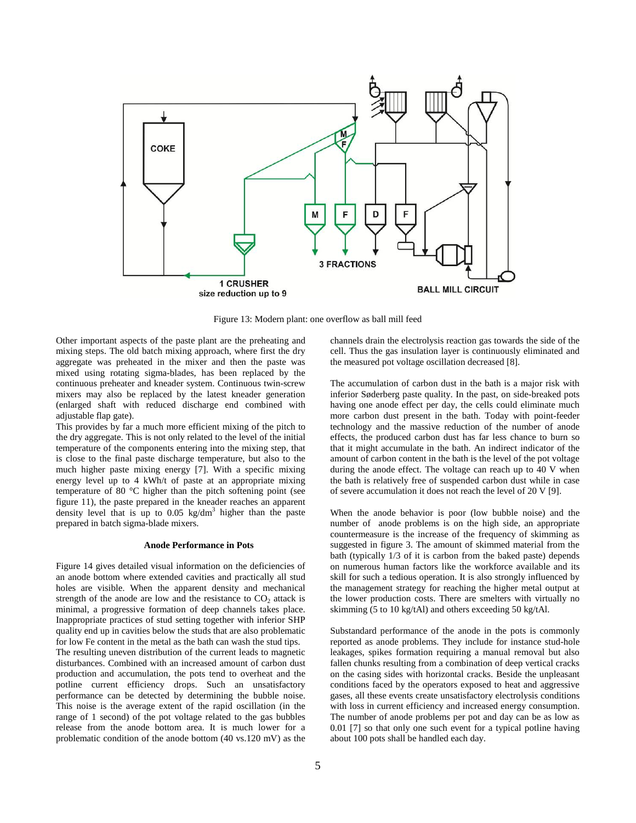

Figure 13: Modern plant: one overflow as ball mill feed

Other important aspects of the paste plant are the preheating and mixing steps. The old batch mixing approach, where first the dry aggregate was preheated in the mixer and then the paste was mixed using rotating sigma-blades, has been replaced by the continuous preheater and kneader system. Continuous twin-screw mixers may also be replaced by the latest kneader generation (enlarged shaft with reduced discharge end combined with adjustable flap gate).

This provides by far a much more efficient mixing of the pitch to the dry aggregate. This is not only related to the level of the initial temperature of the components entering into the mixing step, that is close to the final paste discharge temperature, but also to the much higher paste mixing energy [7]. With a specific mixing energy level up to 4 kWh/t of paste at an appropriate mixing temperature of 80 °C higher than the pitch softening point (see figure 11), the paste prepared in the kneader reaches an apparent density level that is up to  $0.05 \text{ kg/dm}^3$  higher than the paste prepared in batch sigma-blade mixers.

# **Anode Performance in Pots**

Figure 14 gives detailed visual information on the deficiencies of an anode bottom where extended cavities and practically all stud holes are visible. When the apparent density and mechanical strength of the anode are low and the resistance to  $CO<sub>2</sub>$  attack is minimal, a progressive formation of deep channels takes place. Inappropriate practices of stud setting together with inferior SHP quality end up in cavities below the studs that are also problematic for low Fe content in the metal as the bath can wash the stud tips.

The resulting uneven distribution of the current leads to magnetic disturbances. Combined with an increased amount of carbon dust production and accumulation, the pots tend to overheat and the potline current efficiency drops. Such an unsatisfactory performance can be detected by determining the bubble noise. This noise is the average extent of the rapid oscillation (in the range of 1 second) of the pot voltage related to the gas bubbles release from the anode bottom area. It is much lower for a problematic condition of the anode bottom (40 vs.120 mV) as the

channels drain the electrolysis reaction gas towards the side of the cell. Thus the gas insulation layer is continuously eliminated and the measured pot voltage oscillation decreased [8].

The accumulation of carbon dust in the bath is a major risk with inferior Søderberg paste quality. In the past, on side-breaked pots having one anode effect per day, the cells could eliminate much more carbon dust present in the bath. Today with point-feeder technology and the massive reduction of the number of anode effects, the produced carbon dust has far less chance to burn so that it might accumulate in the bath. An indirect indicator of the amount of carbon content in the bath is the level of the pot voltage during the anode effect. The voltage can reach up to 40 V when the bath is relatively free of suspended carbon dust while in case of severe accumulation it does not reach the level of 20 V [9].

When the anode behavior is poor (low bubble noise) and the number of anode problems is on the high side, an appropriate countermeasure is the increase of the frequency of skimming as suggested in figure 3. The amount of skimmed material from the bath (typically 1/3 of it is carbon from the baked paste) depends on numerous human factors like the workforce available and its skill for such a tedious operation. It is also strongly influenced by the management strategy for reaching the higher metal output at the lower production costs. There are smelters with virtually no skimming (5 to 10 kg/tAl) and others exceeding 50 kg/tAl.

Substandard performance of the anode in the pots is commonly reported as anode problems. They include for instance stud-hole leakages, spikes formation requiring a manual removal but also fallen chunks resulting from a combination of deep vertical cracks on the casing sides with horizontal cracks. Beside the unpleasant conditions faced by the operators exposed to heat and aggressive gases, all these events create unsatisfactory electrolysis conditions with loss in current efficiency and increased energy consumption. The number of anode problems per pot and day can be as low as 0.01 [7] so that only one such event for a typical potline having about 100 pots shall be handled each day.